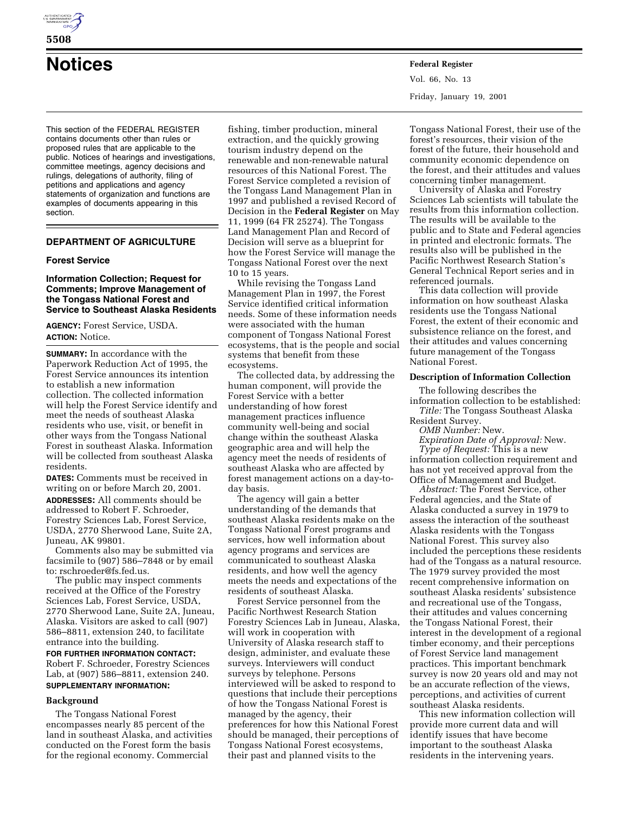

# **Notices Federal Register**

This section of the FEDERAL REGISTER contains documents other than rules or proposed rules that are applicable to the public. Notices of hearings and investigations, committee meetings, agency decisions and rulings, delegations of authority, filing of petitions and applications and agency statements of organization and functions are examples of documents appearing in this section.

# **DEPARTMENT OF AGRICULTURE**

#### **Forest Service**

## **Information Collection; Request for Comments; Improve Management of the Tongass National Forest and Service to Southeast Alaska Residents**

**AGENCY:** Forest Service, USDA. **ACTION:** Notice.

**SUMMARY:** In accordance with the Paperwork Reduction Act of 1995, the Forest Service announces its intention to establish a new information collection. The collected information will help the Forest Service identify and meet the needs of southeast Alaska residents who use, visit, or benefit in other ways from the Tongass National Forest in southeast Alaska. Information will be collected from southeast Alaska residents.

**DATES:** Comments must be received in writing on or before March 20, 2001.

**ADDRESSES:** All comments should be addressed to Robert F. Schroeder, Forestry Sciences Lab, Forest Service, USDA, 2770 Sherwood Lane, Suite 2A, Juneau, AK 99801.

Comments also may be submitted via facsimile to (907) 586–7848 or by email to: rschroeder@fs.fed.us.

The public may inspect comments received at the Office of the Forestry Sciences Lab, Forest Service, USDA, 2770 Sherwood Lane, Suite 2A, Juneau, Alaska. Visitors are asked to call (907) 586–8811, extension 240, to facilitate entrance into the building.

**FOR FURTHER INFORMATION CONTACT:** Robert F. Schroeder, Forestry Sciences Lab, at (907) 586–8811, extension 240. **SUPPLEMENTARY INFORMATION:**

## **Background**

The Tongass National Forest encompasses nearly 85 percent of the land in southeast Alaska, and activities conducted on the Forest form the basis for the regional economy. Commercial

fishing, timber production, mineral extraction, and the quickly growing tourism industry depend on the renewable and non-renewable natural resources of this National Forest. The Forest Service completed a revision of the Tongass Land Management Plan in 1997 and published a revised Record of Decision in the **Federal Register** on May 11, 1999 (64 FR 25274). The Tongass Land Management Plan and Record of Decision will serve as a blueprint for how the Forest Service will manage the Tongass National Forest over the next 10 to 15 years.

While revising the Tongass Land Management Plan in 1997, the Forest Service identified critical information needs. Some of these information needs were associated with the human component of Tongass National Forest ecosystems, that is the people and social systems that benefit from these ecosystems.

The collected data, by addressing the human component, will provide the Forest Service with a better understanding of how forest management practices influence community well-being and social change within the southeast Alaska geographic area and will help the agency meet the needs of residents of southeast Alaska who are affected by forest management actions on a day-today basis.

The agency will gain a better understanding of the demands that southeast Alaska residents make on the Tongass National Forest programs and services, how well information about agency programs and services are communicated to southeast Alaska residents, and how well the agency meets the needs and expectations of the residents of southeast Alaska.

Forest Service personnel from the Pacific Northwest Research Station Forestry Sciences Lab in Juneau, Alaska, will work in cooperation with University of Alaska research staff to design, administer, and evaluate these surveys. Interviewers will conduct surveys by telephone. Persons interviewed will be asked to respond to questions that include their perceptions of how the Tongass National Forest is managed by the agency, their preferences for how this National Forest should be managed, their perceptions of Tongass National Forest ecosystems, their past and planned visits to the

Vol. 66, No. 13 Friday, January 19, 2001

Tongass National Forest, their use of the forest's resources, their vision of the forest of the future, their household and community economic dependence on the forest, and their attitudes and values concerning timber management.

University of Alaska and Forestry Sciences Lab scientists will tabulate the results from this information collection. The results will be available to the public and to State and Federal agencies in printed and electronic formats. The results also will be published in the Pacific Northwest Research Station's General Technical Report series and in referenced journals.

This data collection will provide information on how southeast Alaska residents use the Tongass National Forest, the extent of their economic and subsistence reliance on the forest, and their attitudes and values concerning future management of the Tongass National Forest.

## **Description of Information Collection**

The following describes the information collection to be established: *Title:* The Tongass Southeast Alaska

Resident Survey.

*OMB Number:* New.

*Expiration Date of Approval:* New. *Type of Request:* This is a new information collection requirement and

has not yet received approval from the Office of Management and Budget.

*Abstract:* The Forest Service, other Federal agencies, and the State of Alaska conducted a survey in 1979 to assess the interaction of the southeast Alaska residents with the Tongass National Forest. This survey also included the perceptions these residents had of the Tongass as a natural resource. The 1979 survey provided the most recent comprehensive information on southeast Alaska residents' subsistence and recreational use of the Tongass, their attitudes and values concerning the Tongass National Forest, their interest in the development of a regional timber economy, and their perceptions of Forest Service land management practices. This important benchmark survey is now 20 years old and may not be an accurate reflection of the views, perceptions, and activities of current southeast Alaska residents.

This new information collection will provide more current data and will identify issues that have become important to the southeast Alaska residents in the intervening years.